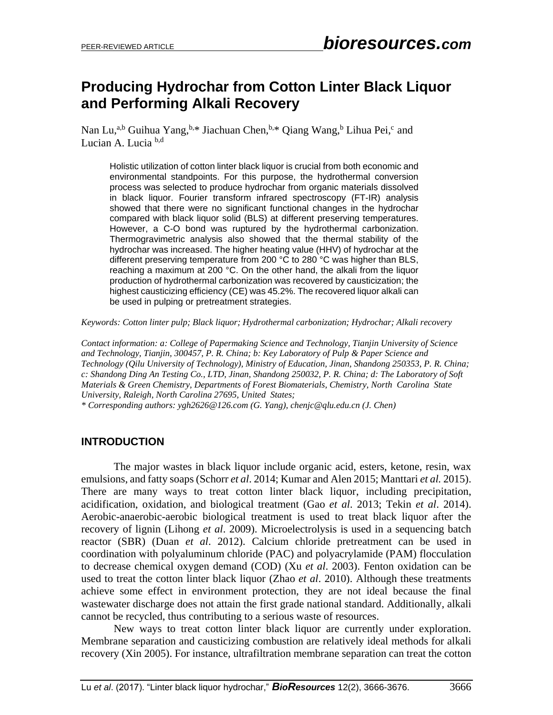# **Producing Hydrochar from Cotton Linter Black Liquor and Performing Alkali Recovery**

Nan Lu,<sup>a,b</sup> Guihua Yang,<sup>b,\*</sup> Jiachuan Chen,<sup>b,\*</sup> Qiang Wang,<sup>b</sup> Lihua Pei,<sup>c</sup> and Lucian A. Lucia b,d

Holistic utilization of cotton linter black liquor is crucial from both economic and environmental standpoints. For this purpose, the hydrothermal conversion process was selected to produce hydrochar from organic materials dissolved in black liquor. Fourier transform infrared spectroscopy (FT-IR) analysis showed that there were no significant functional changes in the hydrochar compared with black liquor solid (BLS) at different preserving temperatures. However, a C-O bond was ruptured by the hydrothermal carbonization. Thermogravimetric analysis also showed that the thermal stability of the hydrochar was increased. The higher heating value (HHV) of hydrochar at the different preserving temperature from 200 °C to 280 °C was higher than BLS, reaching a maximum at 200 °C. On the other hand, the alkali from the liquor production of hydrothermal carbonization was recovered by causticization; the highest causticizing efficiency (CE) was 45.2%. The recovered liquor alkali can be used in pulping or pretreatment strategies.

*Keywords: Cotton linter pulp; Black liquor; Hydrothermal carbonization; Hydrochar; Alkali recovery*

*Contact information: a: College of Papermaking Science and Technology, Tianjin University of Science and Technology, Tianjin, 300457, P. R. China; b: Key Laboratory of Pulp & Paper Science and Technology (Qilu University of Technology), Ministry of Education, Jinan, Shandong 250353, P. R. China; c: Shandong Ding An Testing Co., LTD, Jinan, Shandong 250032, P. R. China; d: The Laboratory of Soft Materials & Green Chemistry, Departments of Forest Biomaterials, Chemistry, North Carolina State University, Raleigh, North Carolina 27695, United States; \* Corresponding authors: ygh2626@126.com (G. Yang), chenjc@qlu.edu.cn (J. Chen)*

# **INTRODUCTION**

The major wastes in black liquor include organic acid, esters, ketone, resin, wax emulsions, and fatty soaps (Schorr *et al*. 2014; Kumar and Alen 2015; Manttari *et al.* 2015). There are many ways to treat cotton linter black liquor, including precipitation, acidification, oxidation, and biological treatment (Gao *et al*. 2013; Tekin *et al*. 2014). Aerobic-anaerobic-aerobic biological treatment is used to treat black liquor after the recovery of lignin (Lihong *et al*. 2009). Microelectrolysis is used in a sequencing batch reactor (SBR) (Duan *et al*. 2012). Calcium chloride pretreatment can be used in coordination with polyaluminum chloride (PAC) and polyacrylamide (PAM) flocculation to decrease chemical oxygen demand (COD) (Xu *et al*. 2003). Fenton oxidation can be used to treat the cotton linter black liquor (Zhao *et al*. 2010). Although these treatments achieve some effect in environment protection, they are not ideal because the final wastewater discharge does not attain the first grade national standard. Additionally, alkali cannot be recycled, thus contributing to a serious waste of resources.

New ways to treat cotton linter black liquor are currently under exploration. Membrane separation and causticizing combustion are relatively ideal methods for alkali recovery (Xin 2005). For instance, ultrafiltration membrane separation can treat the cotton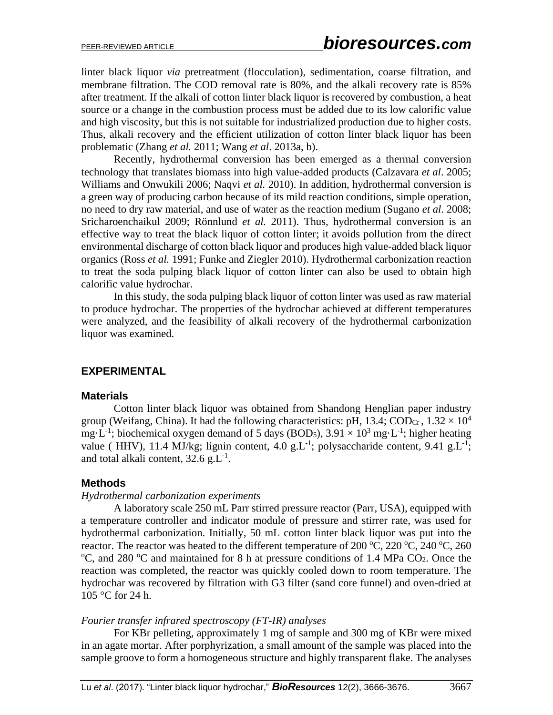linter black liquor *via* pretreatment (flocculation), sedimentation, coarse filtration, and membrane filtration. The COD removal rate is 80%, and the alkali recovery rate is 85% after treatment. If the alkali of cotton linter black liquor is recovered by combustion, a heat source or a change in the combustion process must be added due to its low calorific value and high viscosity, but this is not suitable for industrialized production due to higher costs. Thus, alkali recovery and the efficient utilization of cotton linter black liquor has been problematic (Zhang *et al.* 2011; Wang *et al*. 2013a, b).

Recently, hydrothermal conversion has been emerged as a thermal conversion technology that translates biomass into high value-added products (Calzavara *et al*. 2005; Williams and Onwukili 2006; Naqvi *et al.* 2010). In addition, hydrothermal conversion is a green way of producing carbon because of its mild reaction conditions, simple operation, no need to dry raw material, and use of water as the reaction medium (Sugano *et al*. 2008; Sricharoenchaikul 2009; Rönnlund *et al.* 2011). Thus, hydrothermal conversion is an effective way to treat the black liquor of cotton linter; it avoids pollution from the direct environmental discharge of cotton black liquor and produces high value-added black liquor organics (Ross *et al.* 1991; Funke and Ziegler 2010). Hydrothermal carbonization reaction to treat the soda pulping black liquor of cotton linter can also be used to obtain high calorific value hydrochar.

In this study, the soda pulping black liquor of cotton linter was used as raw material to produce hydrochar. The properties of the hydrochar achieved at different temperatures were analyzed, and the feasibility of alkali recovery of the hydrothermal carbonization liquor was examined.

# **EXPERIMENTAL**

### **Materials**

Cotton linter black liquor was obtained from Shandong Henglian paper industry group (Weifang, China). It had the following characteristics: pH, 13.4; COD<sub>Cr</sub>,  $1.32 \times 10^4$ mg·L<sup>-1</sup>; biochemical oxygen demand of 5 days (BOD<sub>5</sub>),  $3.91 \times 10^3$  mg·L<sup>-1</sup>; higher heating value ( HHV), 11.4 MJ/kg; lignin content, 4.0 g.L<sup>-1</sup>; polysaccharide content, 9.41 g.L<sup>-1</sup>; and total alkali content,  $32.6$  g.L<sup>-1</sup>.

### **Methods**

### *Hydrothermal carbonization experiments*

A laboratory scale 250 mL Parr stirred pressure reactor (Parr, USA), equipped with a temperature controller and indicator module of pressure and stirrer rate, was used for hydrothermal carbonization. Initially, 50 mL cotton linter black liquor was put into the reactor. The reactor was heated to the different temperature of 200  $^{\circ}$ C, 220  $^{\circ}$ C, 240  $^{\circ}$ C, 260  $\rm{^{\circ}C}$ , and 280  $\rm{^{\circ}C}$  and maintained for 8 h at pressure conditions of 1.4 MPa CO<sub>2</sub>. Once the reaction was completed, the reactor was quickly cooled down to room temperature. The hydrochar was recovered by filtration with G3 filter (sand core funnel) and oven-dried at 105 °C for 24 h.

### *Fourier transfer infrared spectroscopy (FT-IR) analyses*

For KBr pelleting, approximately 1 mg of sample and 300 mg of KBr were mixed in an agate mortar. After porphyrization, a small amount of the sample was placed into the sample groove to form a homogeneous structure and highly transparent flake. The analyses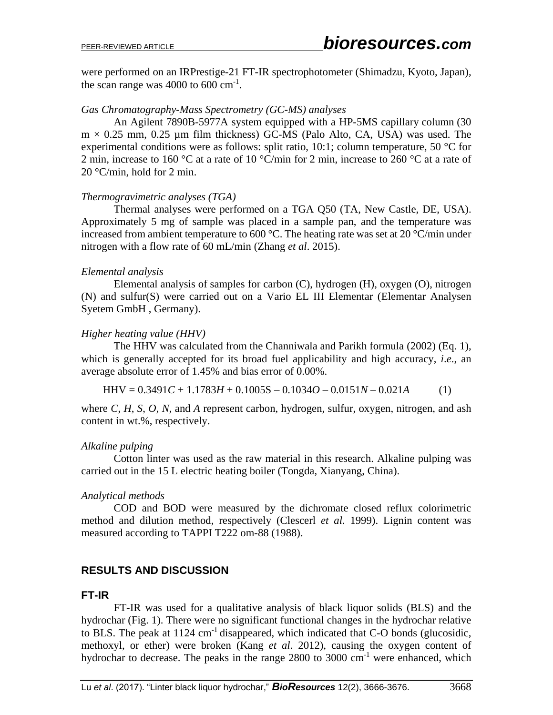were performed on an IRPrestige-21 FT-IR spectrophotometer (Shimadzu, Kyoto, Japan), the scan range was  $4000$  to  $600 \text{ cm}^{-1}$ .

### *Gas Chromatography-Mass Spectrometry (GC-MS) analyses*

An Agilent 7890B-5977A system equipped with a HP-5MS capillary column (30  $m \times 0.25$  mm, 0.25 µm film thickness) GC-MS (Palo Alto, CA, USA) was used. The experimental conditions were as follows: split ratio, 10:1; column temperature, 50 °C for 2 min, increase to 160 °C at a rate of 10 °C/min for 2 min, increase to 260 °C at a rate of 20 °C/min, hold for 2 min.

### *Thermogravimetric analyses (TGA)*

Thermal analyses were performed on a TGA Q50 (TA, New Castle, DE, USA). Approximately 5 mg of sample was placed in a sample pan, and the temperature was increased from ambient temperature to 600 °C. The heating rate was set at 20 °C/min under nitrogen with a flow rate of 60 mL/min (Zhang *et al*. 2015).

### *Elemental analysis*

Elemental analysis of samples for carbon (C), hydrogen (H), oxygen (O), nitrogen (N) and sulfur(S) were carried out on a Vario EL III Elementar (Elementar Analysen Syetem GmbH , Germany).

# *Higher heating value (HHV)*

The HHV was calculated from the Channiwala and Parikh formula (2002) (Eq. 1), which is generally accepted for its broad fuel applicability and high accuracy, *i*.*e*., an average absolute error of 1.45% and bias error of 0.00%.

$$
HHV = 0.3491C + 1.1783H + 0.1005S - 0.1034O - 0.0151N - 0.021A
$$
 (1)

where *C*, *H*, *S*, *O*, *N*, and *A* represent carbon, hydrogen, sulfur, oxygen, nitrogen, and ash content in wt.%, respectively.

# *Alkaline pulping*

Cotton linter was used as the raw material in this research. Alkaline pulping was carried out in the 15 L electric heating boiler (Tongda, Xianyang, China).

# *Analytical methods*

COD and BOD were measured by the dichromate closed reflux colorimetric method and dilution method, respectively (Clescerl *et al.* 1999). Lignin content was measured according to TAPPI T222 om-88 (1988).

# **RESULTS AND DISCUSSION**

# **FT-IR**

FT-IR was used for a qualitative analysis of black liquor solids (BLS) and the hydrochar (Fig. 1). There were no significant functional changes in the hydrochar relative to BLS. The peak at  $1124 \text{ cm}^{-1}$  disappeared, which indicated that C-O bonds (glucosidic, methoxyl, or ether) were broken (Kang *et al*. 2012), causing the oxygen content of hydrochar to decrease. The peaks in the range  $2800$  to  $3000 \text{ cm}^{-1}$  were enhanced, which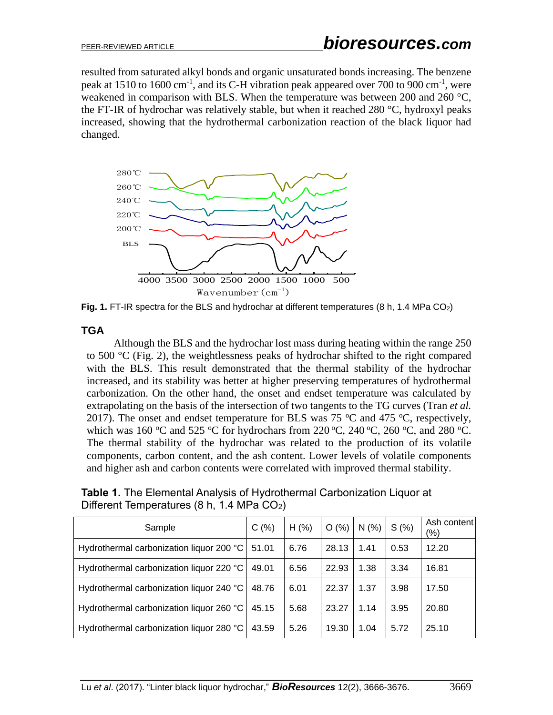resulted from saturated alkyl bonds and organic unsaturated bonds increasing. The benzene peak at 1510 to 1600 cm<sup>-1</sup>, and its C-H vibration peak appeared over 700 to 900 cm<sup>-1</sup>, were weakened in comparison with BLS. When the temperature was between 200 and 260 °C, the FT-IR of hydrochar was relatively stable, but when it reached 280 °C, hydroxyl peaks increased, showing that the hydrothermal carbonization reaction of the black liquor had changed.



Fig. 1. FT-IR spectra for the BLS and hydrochar at different temperatures (8 h, 1.4 MPa CO<sub>2</sub>)

### **TGA**

Although the BLS and the hydrochar lost mass during heating within the range 250 to 500 °C (Fig. 2), the weightlessness peaks of hydrochar shifted to the right compared with the BLS. This result demonstrated that the thermal stability of the hydrochar increased, and its stability was better at higher preserving temperatures of hydrothermal carbonization. On the other hand, the onset and endset temperature was calculated by extrapolating on the basis of the intersection of two tangents to the TG curves (Tran *et al.* 2017). The onset and endset temperature for BLS was 75  $\degree$ C and 475  $\degree$ C, respectively, which was 160 °C and 525 °C for hydrochars from 220 °C, 240 °C, 260 °C, and 280 °C. The thermal stability of the hydrochar was related to the production of its volatile components, carbon content, and the ash content. Lower levels of volatile components and higher ash and carbon contents were correlated with improved thermal stability.

**Table 1.** The Elemental Analysis of Hydrothermal Carbonization Liquor at Different Temperatures (8 h, 1.4 MPa CO<sub>2</sub>)

| Sample                                   | C(%)  | H(% ) | O(%)  | N(%  | S(% ) | Ash content<br>$(\% )$ |
|------------------------------------------|-------|-------|-------|------|-------|------------------------|
| Hydrothermal carbonization liquor 200 °C | 51.01 | 6.76  | 28.13 | 1.41 | 0.53  | 12.20                  |
| Hydrothermal carbonization liquor 220 °C | 49.01 | 6.56  | 22.93 | 1.38 | 3.34  | 16.81                  |
| Hydrothermal carbonization liquor 240 °C | 48.76 | 6.01  | 22.37 | 1.37 | 3.98  | 17.50                  |
| Hydrothermal carbonization liquor 260 °C | 45.15 | 5.68  | 23.27 | 1.14 | 3.95  | 20.80                  |
| Hydrothermal carbonization liquor 280 °C | 43.59 | 5.26  | 19.30 | 1.04 | 5.72  | 25.10                  |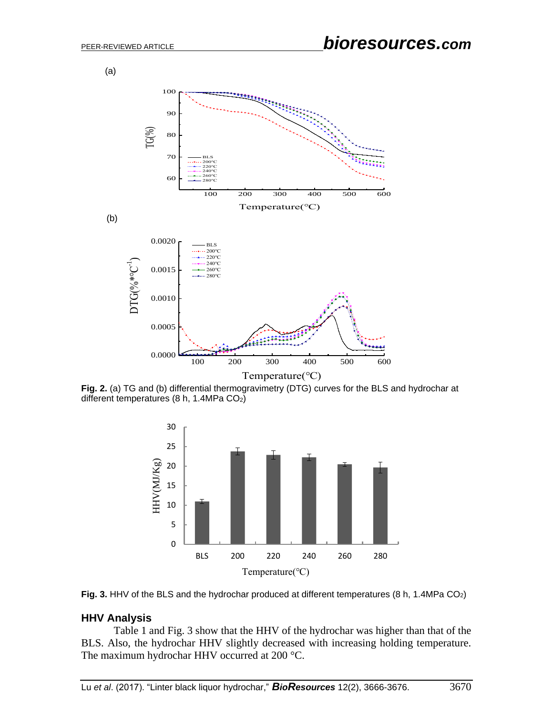

**Fig. 2.** (a) TG and (b) differential thermogravimetry (DTG) curves for the BLS and hydrochar at different temperatures (8 h, 1.4MPa CO<sub>2</sub>)





### **HHV Analysis**

Table 1 and Fig. 3 show that the HHV of the hydrochar was higher than that of the BLS. Also, the hydrochar HHV slightly decreased with increasing holding temperature. The maximum hydrochar HHV occurred at 200 °C.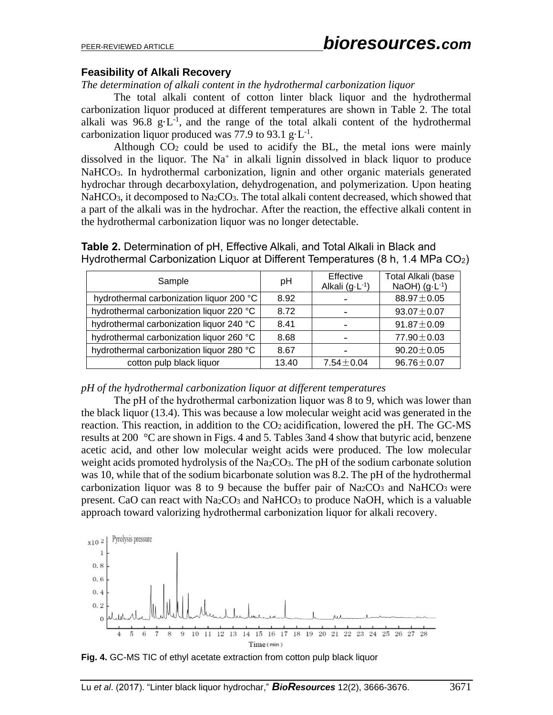### **Feasibility of Alkali Recovery**

*The determination of alkali content in the hydrothermal carbonization liquor*

The total alkali content of cotton linter black liquor and the hydrothermal carbonization liquor produced at different temperatures are shown in Table 2. The total alkali was  $96.8 \text{ g} \cdot L^{-1}$ , and the range of the total alkali content of the hydrothermal carbonization liquor produced was 77.9 to 93.1  $g \cdot L^{-1}$ .

Although  $CO<sub>2</sub>$  could be used to acidify the BL, the metal ions were mainly dissolved in the liquor. The  $Na<sup>+</sup>$  in alkali lignin dissolved in black liquor to produce NaHCO<sub>3</sub>. In hydrothermal carbonization, lignin and other organic materials generated hydrochar through decarboxylation, dehydrogenation, and polymerization. Upon heating NaHCO<sub>3</sub>, it decomposed to Na<sub>2</sub>CO<sub>3</sub>. The total alkali content decreased, which showed that a part of the alkali was in the hydrochar. After the reaction, the effective alkali content in the hydrothermal carbonization liquor was no longer detectable.

**Table 2.** Determination of pH, Effective Alkali, and Total Alkali in Black and Hydrothermal Carbonization Liquor at Different Temperatures (8 h, 1.4 MPa CO<sub>2</sub>)

| Sample                                   | рH    | Effective<br>Alkali $(g \cdot L^{-1})$ | Total Alkali (base<br>NaOH) $(g \cdot L^{-1})$ |
|------------------------------------------|-------|----------------------------------------|------------------------------------------------|
| hydrothermal carbonization liquor 200 °C | 8.92  |                                        | $88.97 \pm 0.05$                               |
| hydrothermal carbonization liquor 220 °C | 8.72  |                                        | $93.07 \pm 0.07$                               |
| hydrothermal carbonization liquor 240 °C | 8.41  |                                        | $91.87 \pm 0.09$                               |
| hydrothermal carbonization liquor 260 °C | 8.68  |                                        | 77.90 ± 0.03                                   |
| hydrothermal carbonization liquor 280 °C | 8.67  |                                        | $90.20 \pm 0.05$                               |
| cotton pulp black liquor                 | 13.40 | $7.54 \pm 0.04$                        | $96.76 \pm 0.07$                               |

*pH of the hydrothermal carbonization liquor at different temperatures*

The pH of the hydrothermal carbonization liquor was 8 to 9, which was lower than the black liquor (13.4). This was because a low molecular weight acid was generated in the reaction. This reaction, in addition to the CO<sub>2</sub> acidification, lowered the pH. The GC-MS results at 200 °C are shown in Figs. 4 and 5. Tables 3and 4 show that butyric acid, benzene acetic acid, and other low molecular weight acids were produced. The low molecular weight acids promoted hydrolysis of the Na<sub>2</sub>CO<sub>3</sub>. The pH of the sodium carbonate solution was 10, while that of the sodium bicarbonate solution was 8.2. The pH of the hydrothermal carbonization liquor was 8 to 9 because the buffer pair of  $Na<sub>2</sub>CO<sub>3</sub>$  and NaHCO<sub>3</sub> were present. CaO can react with Na<sub>2</sub>CO<sub>3</sub> and NaHCO<sub>3</sub> to produce NaOH, which is a valuable approach toward valorizing hydrothermal carbonization liquor for alkali recovery.



**Fig. 4.** GC-MS TIC of ethyl acetate extraction from cotton pulp black liquor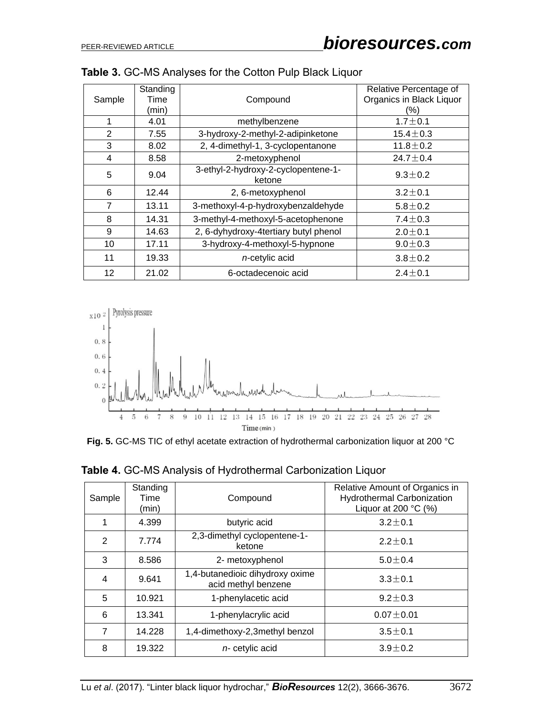|                | Standing |                                               | Relative Percentage of   |
|----------------|----------|-----------------------------------------------|--------------------------|
| Sample         | Time     | Compound                                      | Organics in Black Liquor |
|                | (min)    |                                               | (%)                      |
| 1              | 4.01     | methylbenzene                                 |                          |
|                |          |                                               | $1.7 \pm 0.1$            |
| $\overline{2}$ | 7.55     | 3-hydroxy-2-methyl-2-adipinketone             | $15.4 \pm 0.3$           |
| 3              | 8.02     | 2, 4-dimethyl-1, 3-cyclopentanone             | $11.8 \pm 0.2$           |
| 4              | 8.58     | 2-metoxyphenol                                | 24.7 $\pm$ 0.4           |
| 5              | 9.04     | 3-ethyl-2-hydroxy-2-cyclopentene-1-<br>ketone | $9.3 \pm 0.2$            |
| 6              | 12.44    | 2, 6-metoxyphenol                             | $3.2 \pm 0.1$            |
| 7              | 13.11    | 3-methoxyl-4-p-hydroxybenzaldehyde            | $5.8 \pm 0.2$            |
| 8              | 14.31    | 3-methyl-4-methoxyl-5-acetophenone            | $7.4 \pm 0.3$            |
| 9              | 14.63    | 2, 6-dyhydroxy-4tertiary butyl phenol         | $2.0 \pm 0.1$            |
| 10             | 17.11    | 3-hydroxy-4-methoxyl-5-hypnone                | $9.0 \pm 0.3$            |
| 11             | 19.33    | $n$ -cetylic acid                             | $3.8 \pm 0.2$            |
| 12             | 21.02    | 6-octadecenoic acid                           | $2.4 + 0.1$              |

| Table 3. GC-MS Analyses for the Cotton Pulp Black Liquor |  |  |
|----------------------------------------------------------|--|--|
|----------------------------------------------------------|--|--|



**Fig. 5.** GC-MS TIC of ethyl acetate extraction of hydrothermal carbonization liquor at 200 °C

| Sample | Standing<br>Time<br>(min) | Compound                                               | Relative Amount of Organics in<br><b>Hydrothermal Carbonization</b><br>Liquor at 200 $°C$ (%) |
|--------|---------------------------|--------------------------------------------------------|-----------------------------------------------------------------------------------------------|
| 1      | 4.399                     | butyric acid                                           | $3.2 \pm 0.1$                                                                                 |
| 2      | 7.774                     | 2,3-dimethyl cyclopentene-1-<br>ketone                 | $2.2 \pm 0.1$                                                                                 |
| 3      | 8.586                     | 2- metoxyphenol                                        | $5.0 \pm 0.4$                                                                                 |
| 4      | 9.641                     | 1,4-butanedioic dihydroxy oxime<br>acid methyl benzene | $3.3 \pm 0.1$                                                                                 |
| 5      | 10.921                    | 1-phenylacetic acid                                    | $9.2 \pm 0.3$                                                                                 |
| 6      | 13.341                    | 1-phenylacrylic acid                                   | $0.07 \pm 0.01$                                                                               |
| 7      | 14.228                    | 1,4-dimethoxy-2,3methyl benzol                         | $3.5 \pm 0.1$                                                                                 |
| 8      | 19.322                    | $n$ - cetylic acid                                     | $3.9 \pm 0.2$                                                                                 |

**Table 4.** GC-MS Analysis of Hydrothermal Carbonization Liquor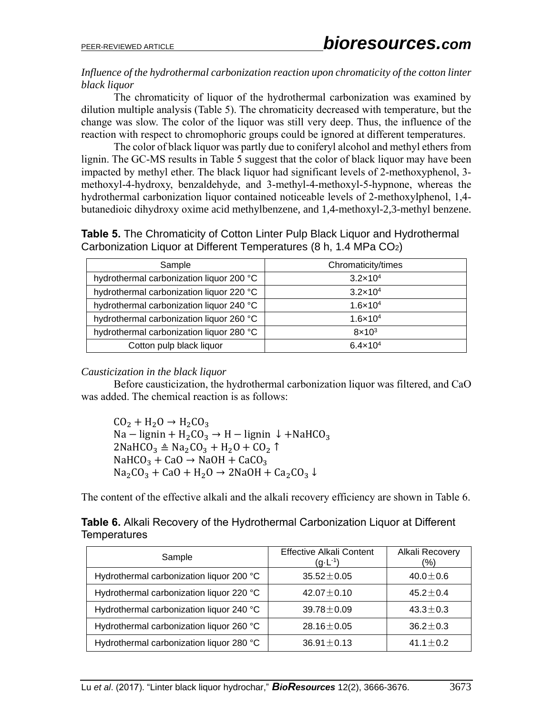### *Influence of the hydrothermal carbonization reaction upon chromaticity of the cotton linter black liquor*

The chromaticity of liquor of the hydrothermal carbonization was examined by dilution multiple analysis (Table 5). The chromaticity decreased with temperature, but the change was slow. The color of the liquor was still very deep. Thus, the influence of the reaction with respect to chromophoric groups could be ignored at different temperatures.

The color of black liquor was partly due to coniferyl alcohol and methyl ethers from lignin. The GC-MS results in Table 5 suggest that the color of black liquor may have been impacted by methyl ether. The black liquor had significant levels of 2-methoxyphenol, 3 methoxyl-4-hydroxy, benzaldehyde, and 3-methyl-4-methoxyl-5-hypnone, whereas the hydrothermal carbonization liquor contained noticeable levels of 2-methoxylphenol, 1,4 butanedioic dihydroxy oxime acid methylbenzene, and 1,4-methoxyl-2,3-methyl benzene.

**Table 5.** The Chromaticity of Cotton Linter Pulp Black Liquor and Hydrothermal Carbonization Liquor at Different Temperatures (8 h, 1.4 MPa CO<sub>2</sub>)

| Sample                                   | Chromaticity/times  |
|------------------------------------------|---------------------|
| hydrothermal carbonization liquor 200 °C | $3.2 \times 10^{4}$ |
| hydrothermal carbonization liquor 220 °C | $3.2 \times 10^{4}$ |
| hydrothermal carbonization liquor 240 °C | $1.6 \times 10^{4}$ |
| hydrothermal carbonization liquor 260 °C | $1.6 \times 10^{4}$ |
| hydrothermal carbonization liquor 280 °C | $8 \times 10^3$     |
| Cotton pulp black liquor                 | $6.4 \times 10^{4}$ |

### *Causticization in the black liquor*

Before causticization, the hydrothermal carbonization liquor was filtered, and CaO was added. The chemical reaction is as follows:

 $CO_2 + H_2O \rightarrow H_2CO_3$ Na – lignin + H<sub>2</sub>CO<sub>3</sub> → H – lignin ↓ +NaHCO<sub>3</sub>  $2N$ aHCO<sub>3</sub>  $\triangleq$  Na<sub>2</sub>CO<sub>3</sub> + H<sub>2</sub>O + CO<sub>2</sub>  $\uparrow$  $NAHCO<sub>3</sub> + CaO \rightarrow NaOH + CaCO<sub>3</sub>$  $Na<sub>2</sub>CO<sub>3</sub> + CaO + H<sub>2</sub>O \rightarrow 2NaOH + Ca<sub>2</sub>CO<sub>3</sub> \downarrow$ 

The content of the effective alkali and the alkali recovery efficiency are shown in Table 6.

|                     | Table 6. Alkali Recovery of the Hydrothermal Carbonization Liquor at Different |  |  |
|---------------------|--------------------------------------------------------------------------------|--|--|
| <b>Temperatures</b> |                                                                                |  |  |

| Sample                                   | Effective Alkali Content<br>$(g \cdot L^{-1})$ | Alkali Recovery<br>(%) |
|------------------------------------------|------------------------------------------------|------------------------|
| Hydrothermal carbonization liquor 200 °C | $35.52 \pm 0.05$                               | $40.0 \pm 0.6$         |
| Hydrothermal carbonization liquor 220 °C | $42.07 \pm 0.10$                               | $45.2 + 0.4$           |
| Hydrothermal carbonization liquor 240 °C | $39.78 \pm 0.09$                               | $43.3 \pm 0.3$         |
| Hydrothermal carbonization liquor 260 °C | 28.16 $\pm$ 0.05                               | $36.2 \pm 0.3$         |
| Hydrothermal carbonization liquor 280 °C | $36.91 \pm 0.13$                               | $41.1 + 0.2$           |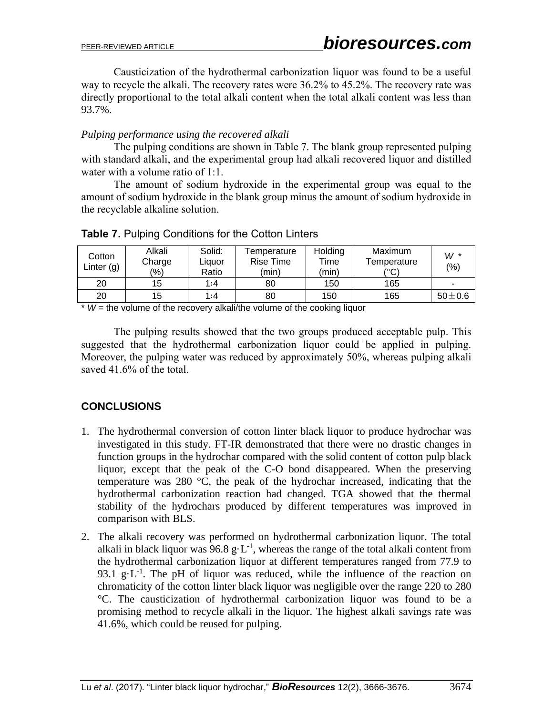Causticization of the hydrothermal carbonization liquor was found to be a useful way to recycle the alkali. The recovery rates were 36.2% to 45.2%. The recovery rate was directly proportional to the total alkali content when the total alkali content was less than 93.7%.

# *Pulping performance using the recovered alkali*

The pulping conditions are shown in Table 7. The blank group represented pulping with standard alkali, and the experimental group had alkali recovered liquor and distilled water with a volume ratio of 1:1.

The amount of sodium hydroxide in the experimental group was equal to the amount of sodium hydroxide in the blank group minus the amount of sodium hydroxide in the recyclable alkaline solution.

| Cotton<br>Linter $(g)$ | Alkali<br>Charge<br>$(\% )$ | Solid:<br>Liauor<br>Ratio | Temperature<br><b>Rise Time</b><br>(min) | Holding<br>Time<br>(min) | Maximum<br>Temperature<br>(°C) | $W^*$<br>(%) |
|------------------------|-----------------------------|---------------------------|------------------------------------------|--------------------------|--------------------------------|--------------|
| 20                     | 15.                         | 1:4                       | 80                                       | 150                      | 165                            | -            |
| 20                     | 15                          | 1:4                       | 80                                       | 150                      | 165                            | $50 \pm 0.6$ |

# **Table 7.** Pulping Conditions for the Cotton Linters

 $*$   $W$  = the volume of the recovery alkali/the volume of the cooking liquor

The pulping results showed that the two groups produced acceptable pulp. This suggested that the hydrothermal carbonization liquor could be applied in pulping. Moreover, the pulping water was reduced by approximately 50%, whereas pulping alkali saved 41.6% of the total.

# **CONCLUSIONS**

- 1. The hydrothermal conversion of cotton linter black liquor to produce hydrochar was investigated in this study. FT-IR demonstrated that there were no drastic changes in function groups in the hydrochar compared with the solid content of cotton pulp black liquor, except that the peak of the C-O bond disappeared. When the preserving temperature was 280 °C, the peak of the hydrochar increased, indicating that the hydrothermal carbonization reaction had changed. TGA showed that the thermal stability of the hydrochars produced by different temperatures was improved in comparison with BLS.
- 2. The alkali recovery was performed on hydrothermal carbonization liquor. The total alkali in black liquor was  $96.8 \text{ g} \cdot \text{L}^{-1}$ , whereas the range of the total alkali content from the hydrothermal carbonization liquor at different temperatures ranged from 77.9 to 93.1  $g \cdot L^{-1}$ . The pH of liquor was reduced, while the influence of the reaction on chromaticity of the cotton linter black liquor was negligible over the range 220 to 280 °C. The causticization of hydrothermal carbonization liquor was found to be a promising method to recycle alkali in the liquor. The highest alkali savings rate was 41.6%, which could be reused for pulping.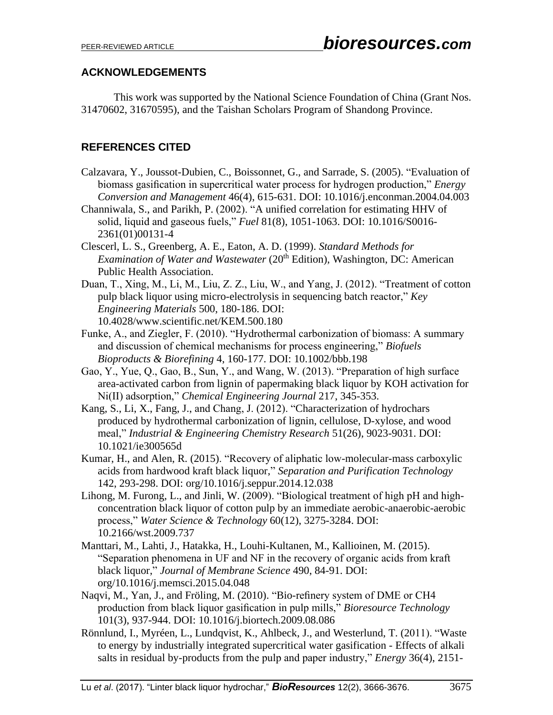# **ACKNOWLEDGEMENTS**

This work was supported by the National Science Foundation of China (Grant Nos. 31470602, 31670595), and the Taishan Scholars Program of Shandong Province.

# **REFERENCES CITED**

- Calzavara, Y., Joussot-Dubien, C., Boissonnet, G., and Sarrade, S. (2005). "Evaluation of biomass gasification in supercritical water process for hydrogen production," *Energy Conversion and Management* 46(4), 615-631. DOI: 10.1016/j.enconman.2004.04.003
- Channiwala, S., and Parikh, P. (2002). "A unified correlation for estimating HHV of solid, liquid and gaseous fuels," *Fuel* 81(8), 1051-1063. DOI: 10.1016/S0016- 2361(01)00131-4
- Clescerl, L. S., Greenberg, A. E., Eaton, A. D. (1999). *Standard Methods for Examination of Water and Wastewater* (20<sup>th</sup> Edition), Washington, DC: American Public Health Association.
- Duan, T., Xing, M., Li, M., Liu, Z. Z., Liu, W., and Yang, J. (2012). "Treatment of cotton pulp black liquor using micro-electrolysis in sequencing batch reactor," *Key Engineering Materials* 500, 180-186. DOI: 10.4028/www.scientific.net/KEM.500.180
- Funke, A., and Ziegler, F. (2010). "Hydrothermal carbonization of biomass: A summary and discussion of chemical mechanisms for process engineering," *Biofuels Bioproducts & Biorefining* 4, 160-177. DOI: 10.1002/bbb.198
- Gao, Y., Yue, Q., Gao, B., Sun, Y., and Wang, W. (2013). "Preparation of high surface area-activated carbon from lignin of papermaking black liquor by KOH activation for Ni(II) adsorption," *Chemical Engineering Journal* 217, 345-353.
- Kang, S., Li, X., Fang, J., and Chang, J. (2012). "Characterization of hydrochars produced by hydrothermal carbonization of lignin, cellulose, D-xylose, and wood meal," *Industrial & Engineering Chemistry Research* 51(26), 9023-9031. DOI: 10.1021/ie300565d
- Kumar, H., and Alen, R. (2015). "Recovery of aliphatic low-molecular-mass carboxylic acids from hardwood kraft black liquor," *Separation and Purification Technology* 142, 293-298. DOI: org/10.1016/j.seppur.2014.12.038
- Lihong, M. Furong, L., and Jinli, W. (2009). "Biological treatment of high pH and highconcentration black liquor of cotton pulp by an immediate aerobic-anaerobic-aerobic process," *Water Science & Technology* 60(12), 3275-3284. DOI: 10.2166/wst.2009.737
- Manttari, M., Lahti, J., Hatakka, H., Louhi-Kultanen, M., Kallioinen, M. (2015). "Separation phenomena in UF and NF in the recovery of organic acids from kraft black liquor," *Journal of Membrane Science* 490, 84-91. DOI: org/10.1016/j.memsci.2015.04.048
- Naqvi, M., Yan, J., and Fröling, M. (2010). "Bio-refinery system of DME or CH4 production from black liquor gasification in pulp mills," *Bioresource Technology* 101(3), 937-944. DOI: 10.1016/j.biortech.2009.08.086
- Rönnlund, I., Myréen, L., Lundqvist, K., Ahlbeck, J., and Westerlund, T. (2011). "Waste to energy by industrially integrated supercritical water gasification - Effects of alkali salts in residual by-products from the pulp and paper industry," *Energy* 36(4), 2151-